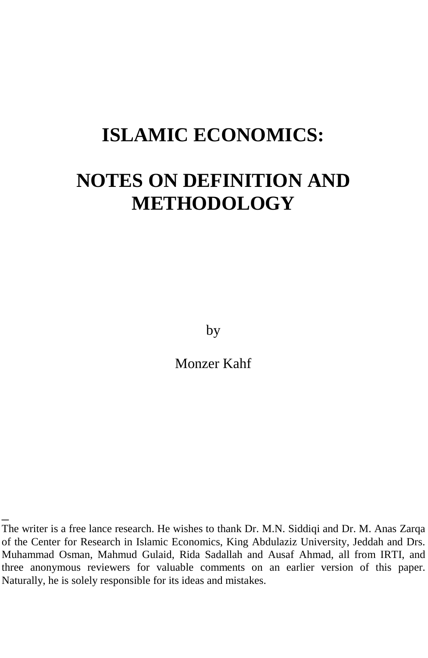# **ISLAMIC ECONOMICS:**

# **NOTES ON DEFINITION AND METHODOLOGY**

by

Monzer Kahf

\_

The writer is a free lance research. He wishes to thank Dr. M.N. Siddiqi and Dr. M. Anas Zarqa of the Center for Research in Islamic Economics, King Abdulaziz University, Jeddah and Drs. Muhammad Osman, Mahmud Gulaid, Rida Sadallah and Ausaf Ahmad, all from IRTI, and three anonymous reviewers for valuable comments on an earlier version of this paper. Naturally, he is solely responsible for its ideas and mistakes.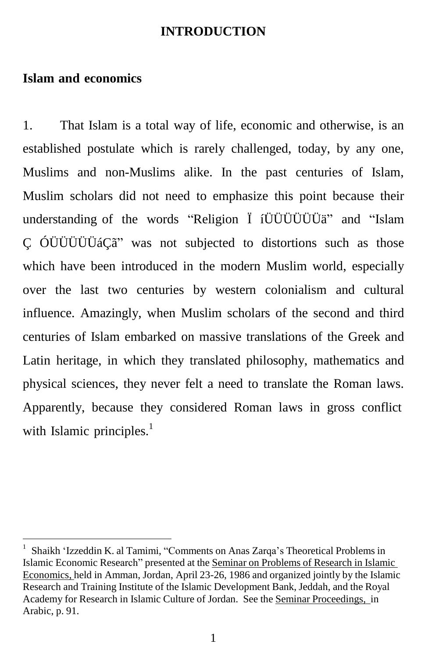#### **INTRODUCTION**

#### **Islam and economics**

1. That Islam is a total way of life, economic and otherwise, is an established postulate which is rarely challenged, today, by any one, Muslims and non-Muslims alike. In the past centuries of Islam, Muslim scholars did not need to emphasize this point because their understanding of the words "Religion Ï íÜÜÜÜÜÜä" and "Islam Ç ÓÜÜÜÜÜáÇã" was not subjected to distortions such as those which have been introduced in the modern Muslim world, especially over the last two centuries by western colonialism and cultural influence. Amazingly, when Muslim scholars of the second and third centuries of Islam embarked on massive translations of the Greek and Latin heritage, in which they translated philosophy, mathematics and physical sciences, they never felt a need to translate the Roman laws. Apparently, because they considered Roman laws in gross conflict with Islamic principles.<sup>1</sup>

<sup>1</sup> Shaikh 'Izzeddin K. al Tamimi, "Comments on Anas Zarqa's Theoretical Problems in Islamic Economic Research" presented at the Seminar on Problems of Research in Islamic Economics, held in Amman, Jordan, April 23-26, 1986 and organized jointly by the Islamic Research and Training Institute of the Islamic Development Bank, Jeddah, and the Royal Academy for Research in Islamic Culture of Jordan. See the Seminar Proceedings, in Arabic, p. 91.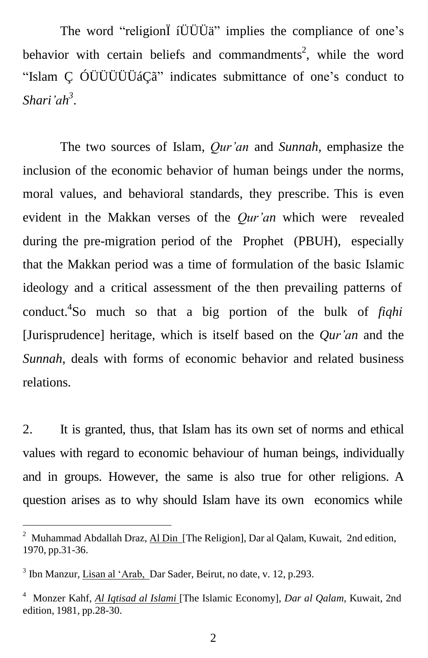The word "religionÏ íÜÜÜä" implies the compliance of one's behavior with certain beliefs and commandments<sup>2</sup>, while the word "Islam Ç ÓÜÜÜÜÜáÇã" indicates submittance of one's conduct to *Shari'ah 3* .

The two sources of Islam, *Qur'an* and *Sunnah*, emphasize the inclusion of the economic behavior of human beings under the norms, moral values, and behavioral standards, they prescribe. This is even evident in the Makkan verses of the *Qur'an* which were revealed during the pre-migration period of the Prophet (PBUH), especially that the Makkan period was a time of formulation of the basic Islamic ideology and a critical assessment of the then prevailing patterns of conduct. 4 So much so that a big portion of the bulk of *fiqhi* [Jurisprudence] heritage, which is itself based on the *Qur'an* and the *Sunnah*, deals with forms of economic behavior and related business relations.

2. It is granted, thus, that Islam has its own set of norms and ethical values with regard to economic behaviour of human beings, individually and in groups. However, the same is also true for other religions. A question arises as to why should Islam have its own economics while

<sup>&</sup>lt;sup>2</sup> Muhammad Abdallah Draz, Al Din [The Religion], Dar al Qalam, Kuwait, 2nd edition, 1970, pp.31-36.

<sup>&</sup>lt;sup>3</sup> Ibn Manzur, *Lisan al 'Arab*, Dar Sader, Beirut, no date, v. 12, p.293.

<sup>4</sup> Monzer Kahf, *Al Iqtisad al Islami* [The Islamic Economy], *Dar al Qalam*, Kuwait, 2nd edition, 1981, pp.28-30.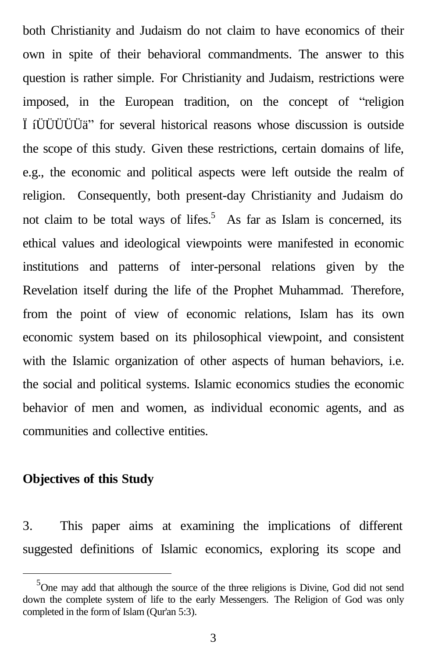both Christianity and Judaism do not claim to have economics of their own in spite of their behavioral commandments. The answer to this question is rather simple. For Christianity and Judaism, restrictions were imposed, in the European tradition, on the concept of "religion Ï íÜÜÜÜÜä" for several historical reasons whose discussion is outside the scope of this study. Given these restrictions, certain domains of life, e.g., the economic and political aspects were left outside the realm of religion. Consequently, both present-day Christianity and Judaism do not claim to be total ways of lifes.<sup>5</sup> As far as Islam is concerned, its ethical values and ideological viewpoints were manifested in economic institutions and patterns of inter-personal relations given by the Revelation itself during the life of the Prophet Muhammad. Therefore, from the point of view of economic relations, Islam has its own economic system based on its philosophical viewpoint, and consistent with the Islamic organization of other aspects of human behaviors, i.e. the social and political systems. Islamic economics studies the economic behavior of men and women, as individual economic agents, and as communities and collective entities.

#### **Objectives of this Study**

3. This paper aims at examining the implications of different suggested definitions of Islamic economics, exploring its scope and

<sup>&</sup>lt;sup>5</sup>One may add that although the source of the three religions is Divine, God did not send down the complete system of life to the early Messengers. The Religion of God was only completed in the form of Islam (Qur'an 5:3).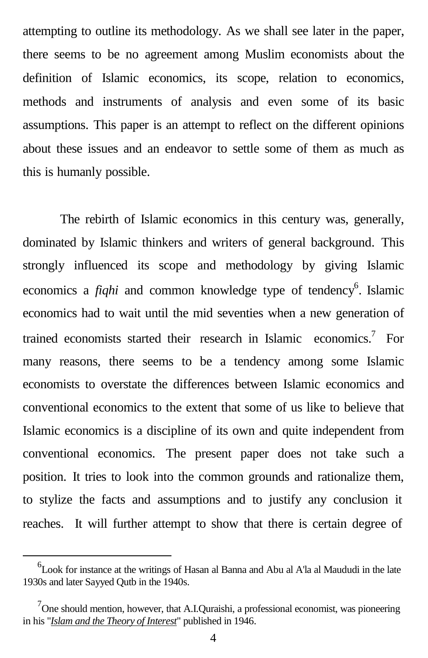attempting to outline its methodology. As we shall see later in the paper, there seems to be no agreement among Muslim economists about the definition of Islamic economics, its scope, relation to economics, methods and instruments of analysis and even some of its basic assumptions. This paper is an attempt to reflect on the different opinions about these issues and an endeavor to settle some of them as much as this is humanly possible.

The rebirth of Islamic economics in this century was, generally, dominated by Islamic thinkers and writers of general background. This strongly influenced its scope and methodology by giving Islamic economics a *fiqhi* and common knowledge type of tendency<sup>6</sup>. Islamic economics had to wait until the mid seventies when a new generation of trained economists started their research in Islamic economics.<sup>7</sup> For many reasons, there seems to be a tendency among some Islamic economists to overstate the differences between Islamic economics and conventional economics to the extent that some of us like to believe that Islamic economics is a discipline of its own and quite independent from conventional economics. The present paper does not take such a position. It tries to look into the common grounds and rationalize them, to stylize the facts and assumptions and to justify any conclusion it reaches. It will further attempt to show that there is certain degree of

<sup>6</sup> Look for instance at the writings of Hasan al Banna and Abu al A'la al Maududi in the late 1930s and later Sayyed Qutb in the 1940s.

 $7$ One should mention, however, that A.I.Quraishi, a professional economist, was pioneering in his "*Islam and the Theory of Interest*" published in 1946.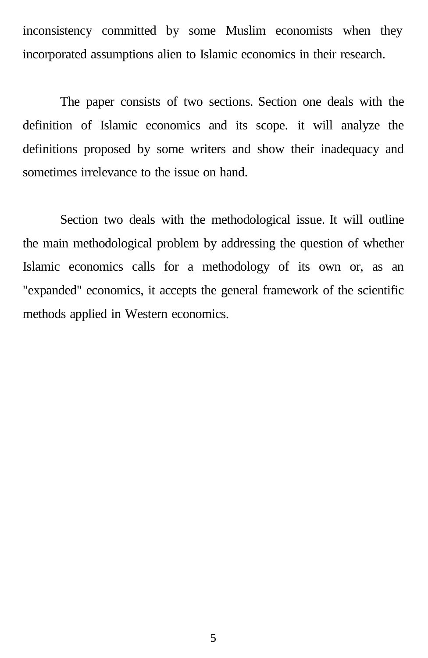inconsistency committed by some Muslim economists when they incorporated assumptions alien to Islamic economics in their research.

The paper consists of two sections. Section one deals with the definition of Islamic economics and its scope. it will analyze the definitions proposed by some writers and show their inadequacy and sometimes irrelevance to the issue on hand.

Section two deals with the methodological issue. It will outline the main methodological problem by addressing the question of whether Islamic economics calls for a methodology of its own or, as an "expanded" economics, it accepts the general framework of the scientific methods applied in Western economics.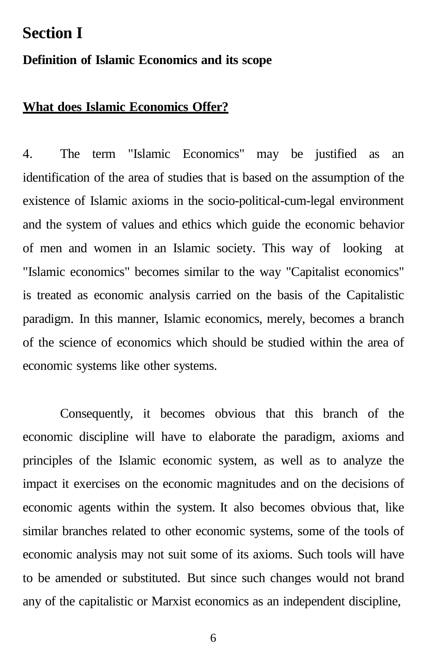#### **Section I**

#### **Definition of Islamic Economics and its scope**

#### **What does Islamic Economics Offer?**

4. The term "Islamic Economics" may be justified as an identification of the area of studies that is based on the assumption of the existence of Islamic axioms in the socio-political-cum-legal environment and the system of values and ethics which guide the economic behavior of men and women in an Islamic society. This way of looking at "Islamic economics" becomes similar to the way "Capitalist economics" is treated as economic analysis carried on the basis of the Capitalistic paradigm. In this manner, Islamic economics, merely, becomes a branch of the science of economics which should be studied within the area of economic systems like other systems.

Consequently, it becomes obvious that this branch of the economic discipline will have to elaborate the paradigm, axioms and principles of the Islamic economic system, as well as to analyze the impact it exercises on the economic magnitudes and on the decisions of economic agents within the system. It also becomes obvious that, like similar branches related to other economic systems, some of the tools of economic analysis may not suit some of its axioms. Such tools will have to be amended or substituted. But since such changes would not brand any of the capitalistic or Marxist economics as an independent discipline,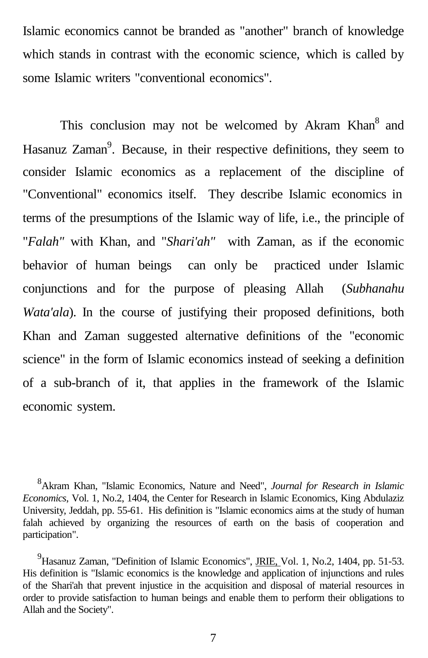Islamic economics cannot be branded as "another" branch of knowledge which stands in contrast with the economic science, which is called by some Islamic writers "conventional economics".

This conclusion may not be welcomed by Akram Khan<sup>8</sup> and Hasanuz Zaman<sup>9</sup>. Because, in their respective definitions, they seem to consider Islamic economics as a replacement of the discipline of "Conventional" economics itself. They describe Islamic economics in terms of the presumptions of the Islamic way of life, i.e., the principle of "*Falah"* with Khan, and "*Shari'ah"* with Zaman, as if the economic behavior of human beings can only be practiced under Islamic conjunctions and for the purpose of pleasing Allah (*Subhanahu Wata'ala*). In the course of justifying their proposed definitions, both Khan and Zaman suggested alternative definitions of the "economic science" in the form of Islamic economics instead of seeking a definition of a sub-branch of it, that applies in the framework of the Islamic economic system.

<sup>8</sup>Akram Khan, "Islamic Economics, Nature and Need", *Journal for Research in Islamic Economics*, Vol. 1, No.2, 1404, the Center for Research in Islamic Economics, King Abdulaziz University, Jeddah, pp. 55-61. His definition is "Islamic economics aims at the study of human falah achieved by organizing the resources of earth on the basis of cooperation and participation".

<sup>&</sup>lt;sup>9</sup>Hasanuz Zaman, "Definition of Islamic Economics", JRIE, Vol. 1, No.2, 1404, pp. 51-53. His definition is "Islamic economics is the knowledge and application of injunctions and rules of the Shari'ah that prevent injustice in the acquisition and disposal of material resources in order to provide satisfaction to human beings and enable them to perform their obligations to Allah and the Society".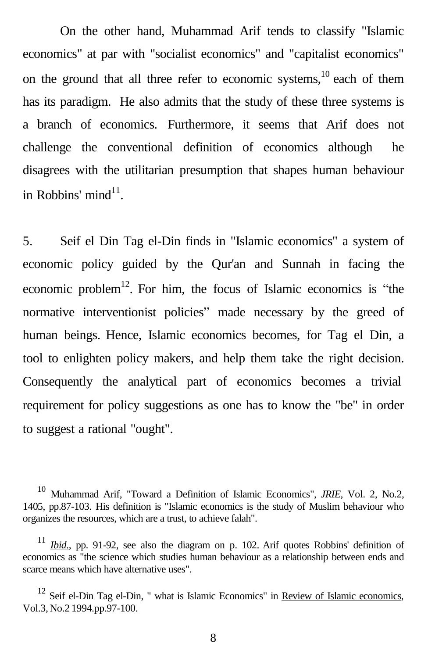On the other hand, Muhammad Arif tends to classify "Islamic economics" at par with "socialist economics" and "capitalist economics" on the ground that all three refer to economic systems,<sup>10</sup> each of them has its paradigm. He also admits that the study of these three systems is a branch of economics. Furthermore, it seems that Arif does not challenge the conventional definition of economics although he disagrees with the utilitarian presumption that shapes human behaviour in Robbins' mind<sup>11</sup>.

5. Seif el Din Tag el-Din finds in "Islamic economics" a system of economic policy guided by the Qur'an and Sunnah in facing the economic problem<sup>12</sup>. For him, the focus of Islamic economics is "the normative interventionist policies" made necessary by the greed of human beings. Hence, Islamic economics becomes, for Tag el Din, a tool to enlighten policy makers, and help them take the right decision. Consequently the analytical part of economics becomes a trivial requirement for policy suggestions as one has to know the "be" in order to suggest a rational "ought".

<sup>10</sup> Muhammad Arif, "Toward a Definition of Islamic Economics", *JRIE,* Vol. 2, No.2, 1405, pp.87-103. His definition is "Islamic economics is the study of Muslim behaviour who organizes the resources, which are a trust, to achieve falah".

*Ibid.*, pp. 91-92, see also the diagram on p. 102. Arif quotes Robbins' definition of economics as "the science which studies human behaviour as a relationship between ends and scarce means which have alternative uses".

 $12$  Seif el-Din Tag el-Din, " what is Islamic Economics" in Review of Islamic economics, Vol.3, No.2 1994.pp.97-100.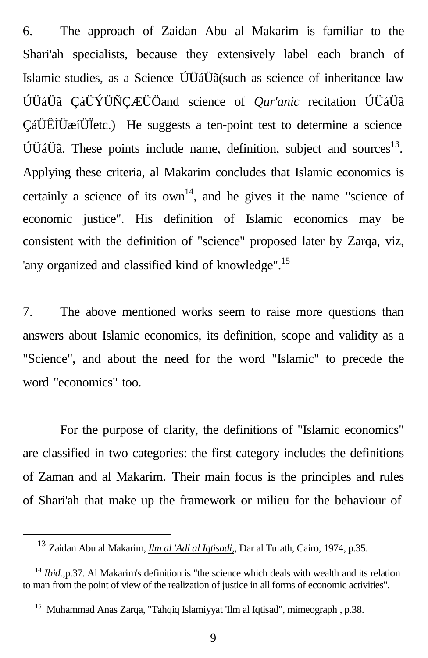6. The approach of Zaidan Abu al Makarim is familiar to the Shari'ah specialists, because they extensively label each branch of Islamic studies, as a Science ÚÜáÜã(such as science of inheritance law ÚÜáÜã ÇáÜÝÜÑÇÆÜÖand science of *Qur'anic* recitation ÚÜáÜã ÇáÜÊÌÜæíÜÏetc.) He suggests a ten-point test to determine a science 򆇆ã. These points include name, definition, subject and sources<sup>13</sup>. Applying these criteria, al Makarim concludes that Islamic economics is certainly a science of its  $own<sup>14</sup>$ , and he gives it the name "science of economic justice". His definition of Islamic economics may be consistent with the definition of "science" proposed later by Zarqa, viz, 'any organized and classified kind of knowledge".<sup>15</sup>

7. The above mentioned works seem to raise more questions than answers about Islamic economics, its definition, scope and validity as a "Science", and about the need for the word "Islamic" to precede the word "economics" too.

For the purpose of clarity, the definitions of "Islamic economics" are classified in two categories: the first category includes the definitions of Zaman and al Makarim. Their main focus is the principles and rules of Shari'ah that make up the framework or milieu for the behaviour of

<sup>13</sup> Zaidan Abu al Makarim, *Ilm al 'Adl al Iqtisadi,*, Dar al Turath, Cairo, 1974, p.35.

<sup>&</sup>lt;sup>14</sup> *Ibid.*, p.37. Al Makarim's definition is "the science which deals with wealth and its relation to man from the point of view of the realization of justice in all forms of economic activities".

<sup>&</sup>lt;sup>15</sup> Muhammad Anas Zarqa, "Tahqiq Islamiyyat 'Ilm al Iqtisad", mimeograph , p.38.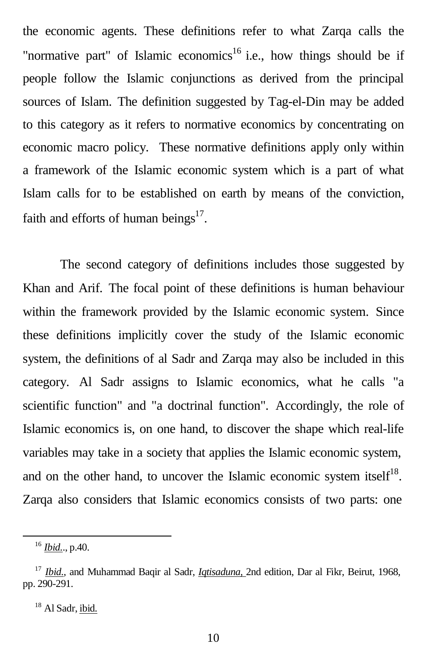the economic agents. These definitions refer to what Zarqa calls the "normative part" of Islamic economics<sup>16</sup> i.e., how things should be if people follow the Islamic conjunctions as derived from the principal sources of Islam. The definition suggested by Tag-el-Din may be added to this category as it refers to normative economics by concentrating on economic macro policy. These normative definitions apply only within a framework of the Islamic economic system which is a part of what Islam calls for to be established on earth by means of the conviction, faith and efforts of human beings<sup>17</sup>.

The second category of definitions includes those suggested by Khan and Arif. The focal point of these definitions is human behaviour within the framework provided by the Islamic economic system. Since these definitions implicitly cover the study of the Islamic economic system, the definitions of al Sadr and Zarqa may also be included in this category. Al Sadr assigns to Islamic economics, what he calls "a scientific function" and "a doctrinal function". Accordingly, the role of Islamic economics is, on one hand, to discover the shape which real-life variables may take in a society that applies the Islamic economic system, and on the other hand, to uncover the Islamic economic system itself $18$ . Zarqa also considers that Islamic economics consists of two parts: one

<sup>16</sup> *Ibid.*., p.40.

<sup>17</sup> *Ibid.*, and Muhammad Baqir al Sadr, *Iqtisaduna,* 2nd edition, Dar al Fikr, Beirut, 1968, pp. 290-291.

<sup>&</sup>lt;sup>18</sup> Al Sadr, ibid.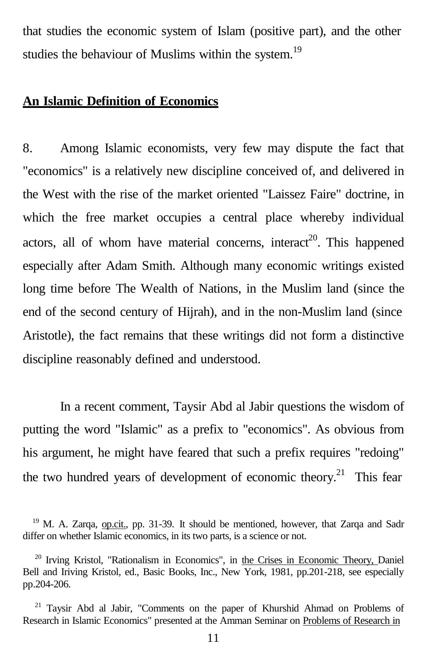that studies the economic system of Islam (positive part), and the other studies the behaviour of Muslims within the system.<sup>19</sup>

#### **An Islamic Definition of Economics**

8. Among Islamic economists, very few may dispute the fact that "economics" is a relatively new discipline conceived of, and delivered in the West with the rise of the market oriented "Laissez Faire" doctrine, in which the free market occupies a central place whereby individual actors, all of whom have material concerns, interact<sup>20</sup>. This happened especially after Adam Smith. Although many economic writings existed long time before The Wealth of Nations, in the Muslim land (since the end of the second century of Hijrah), and in the non-Muslim land (since Aristotle), the fact remains that these writings did not form a distinctive discipline reasonably defined and understood.

In a recent comment, Taysir Abd al Jabir questions the wisdom of putting the word "Islamic" as a prefix to "economics". As obvious from his argument, he might have feared that such a prefix requires "redoing" the two hundred years of development of economic theory.<sup>21</sup> This fear

<sup>&</sup>lt;sup>19</sup> M. A. Zarqa, op.cit., pp. 31-39. It should be mentioned, however, that Zarqa and Sadr differ on whether Islamic economics, in its two parts, is a science or not.

<sup>&</sup>lt;sup>20</sup> Irving Kristol, "Rationalism in Economics", in the Crises in Economic Theory, Daniel Bell and Iriving Kristol, ed., Basic Books, Inc., New York, 1981, pp.201-218, see especially pp.204-206.

<sup>21</sup> Taysir Abd al Jabir, "Comments on the paper of Khurshid Ahmad on Problems of Research in Islamic Economics" presented at the Amman Seminar on Problems of Research in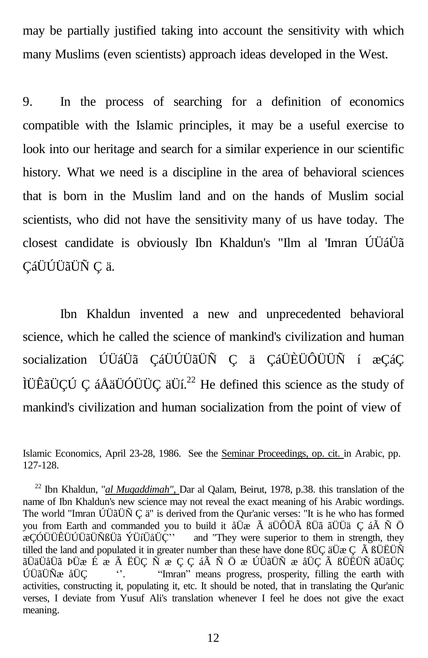may be partially justified taking into account the sensitivity with which many Muslims (even scientists) approach ideas developed in the West.

9. In the process of searching for a definition of economics compatible with the Islamic principles, it may be a useful exercise to look into our heritage and search for a similar experience in our scientific history. What we need is a discipline in the area of behavioral sciences that is born in the Muslim land and on the hands of Muslim social scientists, who did not have the sensitivity many of us have today. The closest candidate is obviously Ibn Khaldun's "Ilm al 'Imran ÚÜáÜã ÇáÜÚÜãÜÑ Ç ä.

Ibn Khaldun invented a new and unprecedented behavioral science, which he called the science of mankind's civilization and human socialization ÚÜáÜã ÇáÜÚÜãÜÑ Ç ä ÇáÜÈÜÔÜÜÑ í æÇáÇ IÜÊãÜÇÚ Ç áÅäÜÓÜÜÇ äÜí.<sup>22</sup> He defined this science as the study of mankind's civilization and human socialization from the point of view of

Islamic Economics, April 23-28, 1986. See the Seminar Proceedings, op. cit. in Arabic, pp. 127-128.

<sup>22</sup> Ibn Khaldun, "*al Muqaddimah",* Dar al Qalam, Beirut, 1978, p.38. this translation of the name of Ibn Khaldun's new science may not reveal the exact meaning of his Arabic wordings. The world "Imran ÚÜãÜÑ Ç ä" is derived from the Qur'anic verses: "It is he who has formed you from Earth and commanded you to build it åÜæ Å äÜÔÜÄ ßÜã ãÜÜä Ç áÅ Ñ Ö acCÓÜÜÊÜÜÜÄÜÑßÜã ÝÜíÜåÜČ'' and "They were superior to them in strength, they and "They were superior to them in strength, they tilled the land and populated it in greater number than these have done  $BUC$  äUæ C  $\tilde{A}$   $BUEU\tilde{N}$ ãÜäÜåÜã ÞÜæ É æ Ã ËÜÇ Ñ æ Ç Ç áÃ Ñ Ö æ ÚÜãÜÑ æ åÜÇ Ã ßÜËÜÑ ãÜãÜÇ ÚÜãÜÑæ åÜÇ ''. "Imran" means progress, prosperity, filling the earth with activities, constructing it, populating it, etc. It should be noted, that in translating the Qur'anic verses, I deviate from Yusuf Ali's translation whenever I feel he does not give the exact meaning.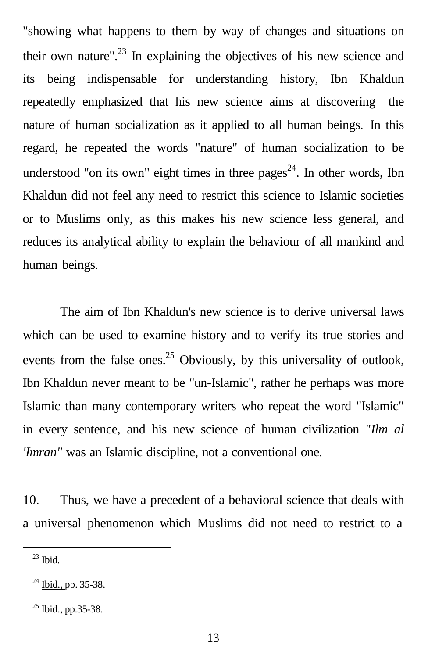"showing what happens to them by way of changes and situations on their own nature".<sup>23</sup> In explaining the objectives of his new science and its being indispensable for understanding history, Ibn Khaldun repeatedly emphasized that his new science aims at discovering the nature of human socialization as it applied to all human beings. In this regard, he repeated the words "nature" of human socialization to be understood "on its own" eight times in three  $\text{pages}^{24}$ . In other words, Ibn Khaldun did not feel any need to restrict this science to Islamic societies or to Muslims only, as this makes his new science less general, and reduces its analytical ability to explain the behaviour of all mankind and human beings.

The aim of Ibn Khaldun's new science is to derive universal laws which can be used to examine history and to verify its true stories and events from the false ones.<sup>25</sup> Obviously, by this universality of outlook, Ibn Khaldun never meant to be "un-Islamic", rather he perhaps was more Islamic than many contemporary writers who repeat the word "Islamic" in every sentence, and his new science of human civilization "*Ilm al 'Imran"* was an Islamic discipline, not a conventional one.

10. Thus, we have a precedent of a behavioral science that deals with a universal phenomenon which Muslims did not need to restrict to a

<sup>23</sup> Ibid.

 $^{24}$  Ibid., pp. 35-38.

 $25$  Ibid., pp.35-38.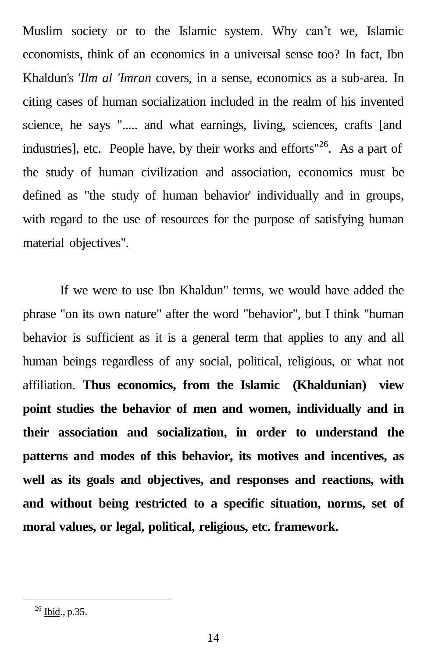Muslim society or to the Islamic system. Why can't we, Islamic economists, think of an economics in a universal sense too? In fact, Ibn Khaldun's '*Ilm al 'Imran* covers, in a sense, economics as a sub-area. In citing cases of human socialization included in the realm of his invented science, he says "..... and what earnings, living, sciences, crafts [and industries], etc. People have, by their works and efforts"<sup>26</sup>. As a part of the study of human civilization and association, economics must be defined as "the study of human behavior' individually and in groups, with regard to the use of resources for the purpose of satisfying human material objectives".

If we were to use Ibn Khaldun" terms, we would have added the phrase "on its own nature" after the word "behavior", but I think "human behavior is sufficient as it is a general term that applies to any and all human beings regardless of any social, political, religious, or what not affiliation. **Thus economics, from the Islamic (Khaldunian) view point studies the behavior of men and women, individually and in their association and socialization, in order to understand the patterns and modes of this behavior, its motives and incentives, as well as its goals and objectives, and responses and reactions, with and without being restricted to a specific situation, norms, set of moral values, or legal, political, religious, etc. framework.**

 $26$  Ibid., p.35.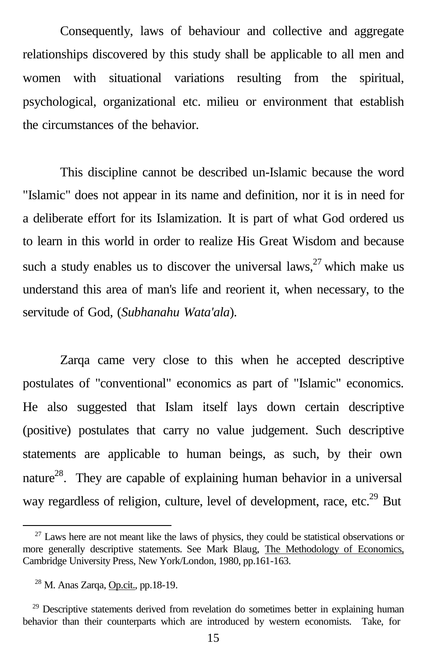Consequently, laws of behaviour and collective and aggregate relationships discovered by this study shall be applicable to all men and women with situational variations resulting from the spiritual, psychological, organizational etc. milieu or environment that establish the circumstances of the behavior.

This discipline cannot be described un-Islamic because the word "Islamic" does not appear in its name and definition, nor it is in need for a deliberate effort for its Islamization. It is part of what God ordered us to learn in this world in order to realize His Great Wisdom and because such a study enables us to discover the universal laws,  $27$  which make us understand this area of man's life and reorient it, when necessary, to the servitude of God, (*Subhanahu Wata'ala*).

Zarqa came very close to this when he accepted descriptive postulates of "conventional" economics as part of "Islamic" economics. He also suggested that Islam itself lays down certain descriptive (positive) postulates that carry no value judgement. Such descriptive statements are applicable to human beings, as such, by their own nature<sup>28</sup>. They are capable of explaining human behavior in a universal way regardless of religion, culture, level of development, race, etc.<sup>29</sup> But

 $27$  Laws here are not meant like the laws of physics, they could be statistical observations or more generally descriptive statements. See Mark Blaug, The Methodology of Economics, Cambridge University Press, New York/London, 1980, pp.161-163.

 $28$  M. Anas Zarqa, Op.cit., pp.18-19.

 $29$  Descriptive statements derived from revelation do sometimes better in explaining human behavior than their counterparts which are introduced by western economists. Take, for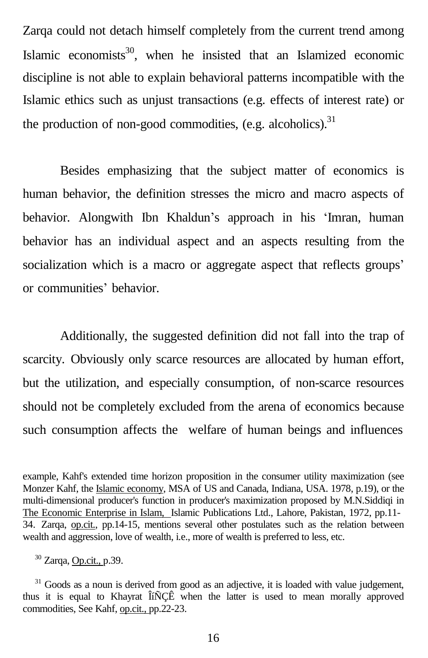Zarqa could not detach himself completely from the current trend among Islamic economists<sup>30</sup>, when he insisted that an Islamized economic discipline is not able to explain behavioral patterns incompatible with the Islamic ethics such as unjust transactions (e.g. effects of interest rate) or the production of non-good commodities, (e.g. alcoholics).<sup>31</sup>

Besides emphasizing that the subject matter of economics is human behavior, the definition stresses the micro and macro aspects of behavior. Alongwith Ibn Khaldun's approach in his 'Imran, human behavior has an individual aspect and an aspects resulting from the socialization which is a macro or aggregate aspect that reflects groups' or communities' behavior.

Additionally, the suggested definition did not fall into the trap of scarcity. Obviously only scarce resources are allocated by human effort, but the utilization, and especially consumption, of non-scarce resources should not be completely excluded from the arena of economics because such consumption affects the welfare of human beings and influences

example, Kahf's extended time horizon proposition in the consumer utility maximization (see Monzer Kahf, the Islamic economy, MSA of US and Canada, Indiana, USA. 1978, p.19), or the multi-dimensional producer's function in producer's maximization proposed by M.N.Siddiqi in The Economic Enterprise in Islam, Islamic Publications Ltd., Lahore, Pakistan, 1972, pp.11- 34. Zarqa, op.cit., pp.14-15, mentions several other postulates such as the relation between wealth and aggression, love of wealth, i.e., more of wealth is preferred to less, etc.

<sup>30</sup> Zarqa, Op.cit., p.39.

<sup>&</sup>lt;sup>31</sup> Goods as a noun is derived from good as an adjective, it is loaded with value judgement, thus it is equal to Khayrat ÎíÑÇÊ when the latter is used to mean morally approved commodities, See Kahf, op.cit., pp.22-23.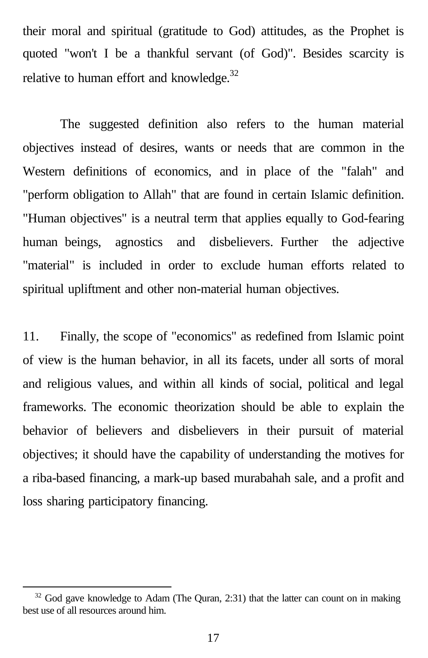their moral and spiritual (gratitude to God) attitudes, as the Prophet is quoted "won't I be a thankful servant (of God)". Besides scarcity is relative to human effort and knowledge.<sup>32</sup>

The suggested definition also refers to the human material objectives instead of desires, wants or needs that are common in the Western definitions of economics, and in place of the "falah" and "perform obligation to Allah" that are found in certain Islamic definition. "Human objectives" is a neutral term that applies equally to God-fearing human beings, agnostics and disbelievers. Further the adjective "material" is included in order to exclude human efforts related to spiritual upliftment and other non-material human objectives.

11. Finally, the scope of "economics" as redefined from Islamic point of view is the human behavior, in all its facets, under all sorts of moral and religious values, and within all kinds of social, political and legal frameworks. The economic theorization should be able to explain the behavior of believers and disbelievers in their pursuit of material objectives; it should have the capability of understanding the motives for a riba-based financing, a mark-up based murabahah sale, and a profit and loss sharing participatory financing.

 $32$  God gave knowledge to Adam (The Quran, 2:31) that the latter can count on in making best use of all resources around him.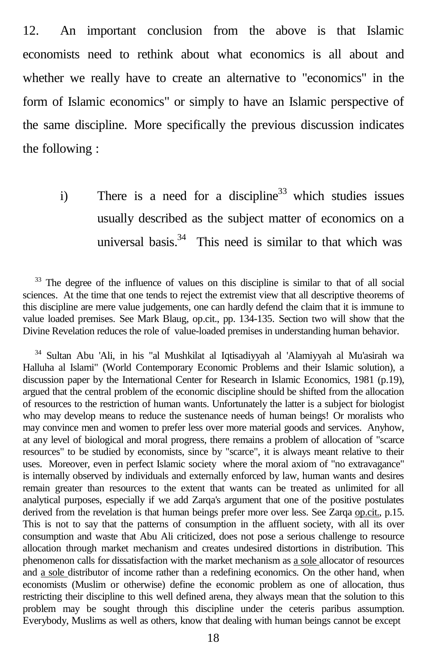12. An important conclusion from the above is that Islamic economists need to rethink about what economics is all about and whether we really have to create an alternative to "economics" in the form of Islamic economics" or simply to have an Islamic perspective of the same discipline. More specifically the previous discussion indicates the following :

i) There is a need for a discipline<sup>33</sup> which studies issues usually described as the subject matter of economics on a universal basis. $34$  This need is similar to that which was

<sup>33</sup> The degree of the influence of values on this discipline is similar to that of all social sciences. At the time that one tends to reject the extremist view that all descriptive theorems of this discipline are mere value judgements, one can hardly defend the claim that it is immune to value loaded premises. See Mark Blaug, op.cit., pp. 134-135. Section two will show that the Divine Revelation reduces the role of value-loaded premises in understanding human behavior.

<sup>34</sup> Sultan Abu 'Ali, in his "al Mushkilat al Iqtisadiyyah al 'Alamiyyah al Mu'asirah wa Halluha al Islami" (World Contemporary Economic Problems and their Islamic solution), a discussion paper by the International Center for Research in Islamic Economics, 1981 (p.19), argued that the central problem of the economic discipline should be shifted from the allocation of resources to the restriction of human wants. Unfortunately the latter is a subject for biologist who may develop means to reduce the sustenance needs of human beings! Or moralists who may convince men and women to prefer less over more material goods and services. Anyhow, at any level of biological and moral progress, there remains a problem of allocation of "scarce resources" to be studied by economists, since by "scarce", it is always meant relative to their uses. Moreover, even in perfect Islamic society where the moral axiom of "no extravagance" is internally observed by individuals and externally enforced by law, human wants and desires remain greater than resources to the extent that wants can be treated as unlimited for all analytical purposes, especially if we add Zarqa's argument that one of the positive postulates derived from the revelation is that human beings prefer more over less. See Zarqa op.cit., p.15. This is not to say that the patterns of consumption in the affluent society, with all its over consumption and waste that Abu Ali criticized, does not pose a serious challenge to resource allocation through market mechanism and creates undesired distortions in distribution. This phenomenon calls for dissatisfaction with the market mechanism as a sole allocator of resources and a sole distributor of income rather than a redefining economics. On the other hand, when economists (Muslim or otherwise) define the economic problem as one of allocation, thus restricting their discipline to this well defined arena, they always mean that the solution to this problem may be sought through this discipline under the ceteris paribus assumption. Everybody, Muslims as well as others, know that dealing with human beings cannot be except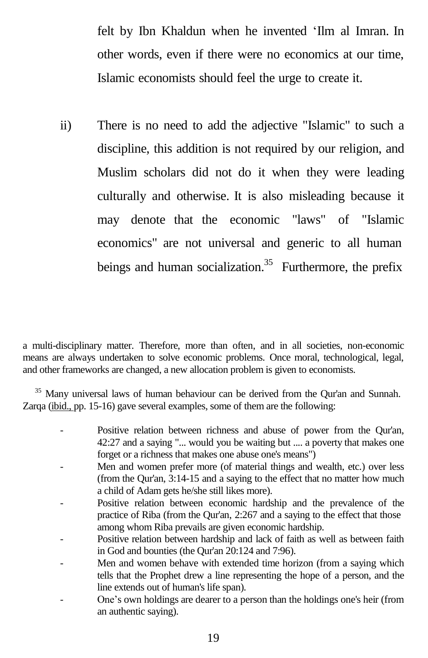felt by Ibn Khaldun when he invented 'Ilm al Imran. In other words, even if there were no economics at our time, Islamic economists should feel the urge to create it.

ii) There is no need to add the adjective "Islamic" to such a discipline, this addition is not required by our religion, and Muslim scholars did not do it when they were leading culturally and otherwise. It is also misleading because it may denote that the economic "laws" of "Islamic economics" are not universal and generic to all human beings and human socialization.<sup>35</sup> Furthermore, the prefix

a multi-disciplinary matter. Therefore, more than often, and in all societies, non-economic means are always undertaken to solve economic problems. Once moral, technological, legal, and other frameworks are changed, a new allocation problem is given to economists.

<sup>35</sup> Many universal laws of human behaviour can be derived from the Qur'an and Sunnah. Zarqa (ibid., pp. 15-16) gave several examples, some of them are the following:

- Positive relation between richness and abuse of power from the Qur'an, 42:27 and a saying "... would you be waiting but .... a poverty that makes one forget or a richness that makes one abuse one's means")
- Men and women prefer more (of material things and wealth, etc.) over less (from the Qur'an, 3:14-15 and a saying to the effect that no matter how much a child of Adam gets he/she still likes more).
- Positive relation between economic hardship and the prevalence of the practice of Riba (from the Qur'an, 2:267 and a saying to the effect that those among whom Riba prevails are given economic hardship.
- Positive relation between hardship and lack of faith as well as between faith in God and bounties (the Qur'an 20:124 and 7:96).
- Men and women behave with extended time horizon (from a saying which tells that the Prophet drew a line representing the hope of a person, and the line extends out of human's life span).
- One's own holdings are dearer to a person than the holdings one's heir (from an authentic saying).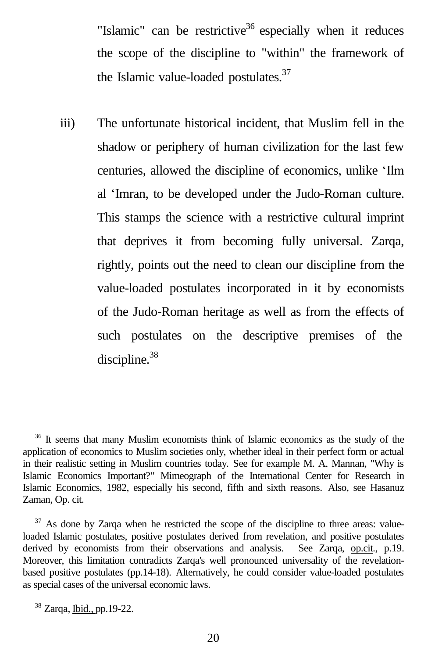"Islamic" can be restrictive<sup>36</sup> especially when it reduces the scope of the discipline to "within" the framework of the Islamic value-loaded postulates.<sup>37</sup>

iii) The unfortunate historical incident, that Muslim fell in the shadow or periphery of human civilization for the last few centuries, allowed the discipline of economics, unlike 'Ilm al 'Imran, to be developed under the Judo-Roman culture. This stamps the science with a restrictive cultural imprint that deprives it from becoming fully universal. Zarqa, rightly, points out the need to clean our discipline from the value-loaded postulates incorporated in it by economists of the Judo-Roman heritage as well as from the effects of such postulates on the descriptive premises of the discipline. 38

<sup>36</sup> It seems that many Muslim economists think of Islamic economics as the study of the application of economics to Muslim societies only, whether ideal in their perfect form or actual in their realistic setting in Muslim countries today. See for example M. A. Mannan, "Why is Islamic Economics Important?" Mimeograph of the International Center for Research in Islamic Economics, 1982, especially his second, fifth and sixth reasons. Also, see Hasanuz Zaman, Op. cit.

<sup>37</sup> As done by Zarqa when he restricted the scope of the discipline to three areas: valueloaded Islamic postulates, positive postulates derived from revelation, and positive postulates derived by economists from their observations and analysis. See Zarqa, op.cit., p.19. Moreover, this limitation contradicts Zarqa's well pronounced universality of the revelationbased positive postulates (pp.14-18). Alternatively, he could consider value-loaded postulates as special cases of the universal economic laws.

<sup>38</sup> Zarqa, Ibid., pp.19-22.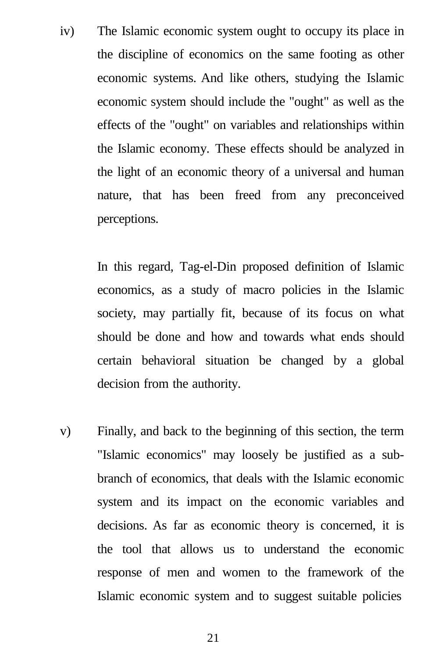iv) The Islamic economic system ought to occupy its place in the discipline of economics on the same footing as other economic systems. And like others, studying the Islamic economic system should include the "ought" as well as the effects of the "ought" on variables and relationships within the Islamic economy. These effects should be analyzed in the light of an economic theory of a universal and human nature, that has been freed from any preconceived perceptions.

> In this regard, Tag-el-Din proposed definition of Islamic economics, as a study of macro policies in the Islamic society, may partially fit, because of its focus on what should be done and how and towards what ends should certain behavioral situation be changed by a global decision from the authority.

v) Finally, and back to the beginning of this section, the term "Islamic economics" may loosely be justified as a subbranch of economics, that deals with the Islamic economic system and its impact on the economic variables and decisions. As far as economic theory is concerned, it is the tool that allows us to understand the economic response of men and women to the framework of the Islamic economic system and to suggest suitable policies

21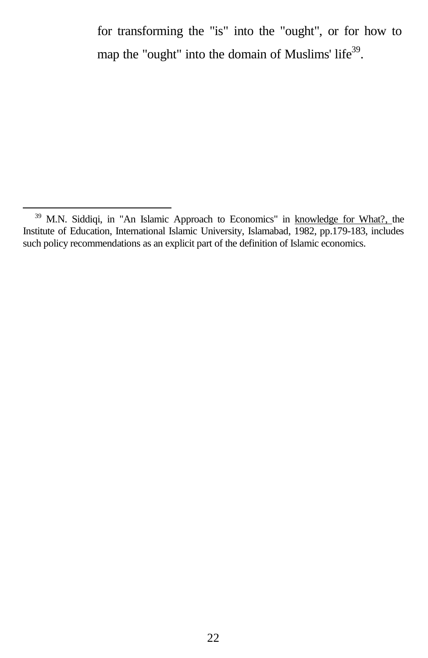for transforming the "is" into the "ought", or for how to map the "ought" into the domain of Muslims' life<sup>39</sup>.

<sup>&</sup>lt;sup>39</sup> M.N. Siddiqi, in "An Islamic Approach to Economics" in knowledge for What?, the Institute of Education, International Islamic University, Islamabad, 1982, pp.179-183, includes such policy recommendations as an explicit part of the definition of Islamic economics.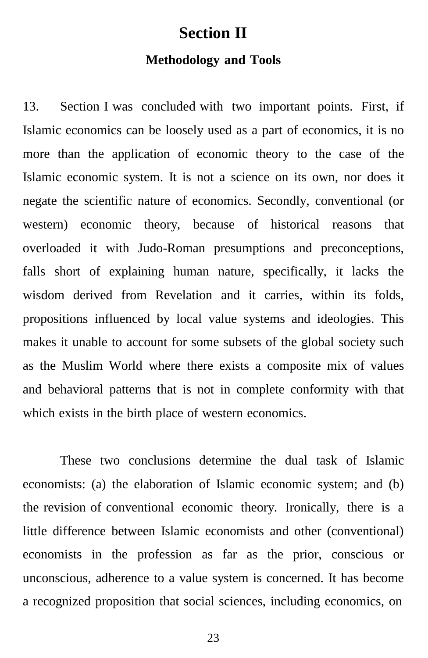### **Section II**

#### **Methodology and Tools**

13. Section I was concluded with two important points. First, if Islamic economics can be loosely used as a part of economics, it is no more than the application of economic theory to the case of the Islamic economic system. It is not a science on its own, nor does it negate the scientific nature of economics. Secondly, conventional (or western) economic theory, because of historical reasons that overloaded it with Judo-Roman presumptions and preconceptions, falls short of explaining human nature, specifically, it lacks the wisdom derived from Revelation and it carries, within its folds, propositions influenced by local value systems and ideologies. This makes it unable to account for some subsets of the global society such as the Muslim World where there exists a composite mix of values and behavioral patterns that is not in complete conformity with that which exists in the birth place of western economics.

These two conclusions determine the dual task of Islamic economists: (a) the elaboration of Islamic economic system; and (b) the revision of conventional economic theory. Ironically, there is a little difference between Islamic economists and other (conventional) economists in the profession as far as the prior, conscious or unconscious, adherence to a value system is concerned. It has become a recognized proposition that social sciences, including economics, on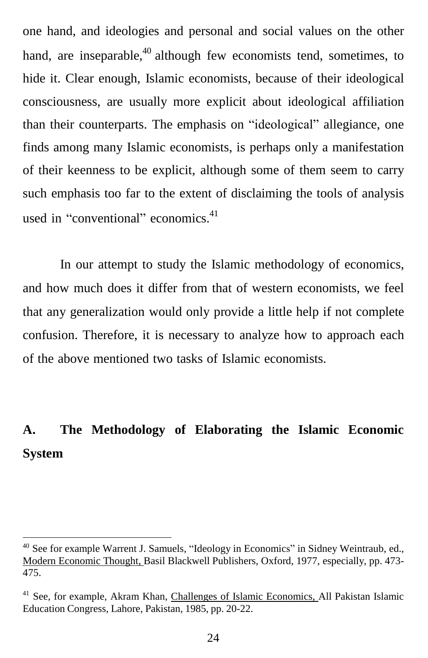one hand, and ideologies and personal and social values on the other hand, are inseparable,  $40$  although few economists tend, sometimes, to hide it. Clear enough, Islamic economists, because of their ideological consciousness, are usually more explicit about ideological affiliation than their counterparts. The emphasis on "ideological" allegiance, one finds among many Islamic economists, is perhaps only a manifestation of their keenness to be explicit, although some of them seem to carry such emphasis too far to the extent of disclaiming the tools of analysis used in "conventional" economics.<sup>41</sup>

In our attempt to study the Islamic methodology of economics, and how much does it differ from that of western economists, we feel that any generalization would only provide a little help if not complete confusion. Therefore, it is necessary to analyze how to approach each of the above mentioned two tasks of Islamic economists.

## **A. The Methodology of Elaborating the Islamic Economic System**

<sup>40</sup> See for example Warrent J. Samuels, "Ideology in Economics" in Sidney Weintraub, ed., Modern Economic Thought, Basil Blackwell Publishers, Oxford, 1977, especially, pp. 473- 475.

<sup>&</sup>lt;sup>41</sup> See, for example, Akram Khan, Challenges of Islamic Economics, All Pakistan Islamic Education Congress, Lahore, Pakistan, 1985, pp. 20-22.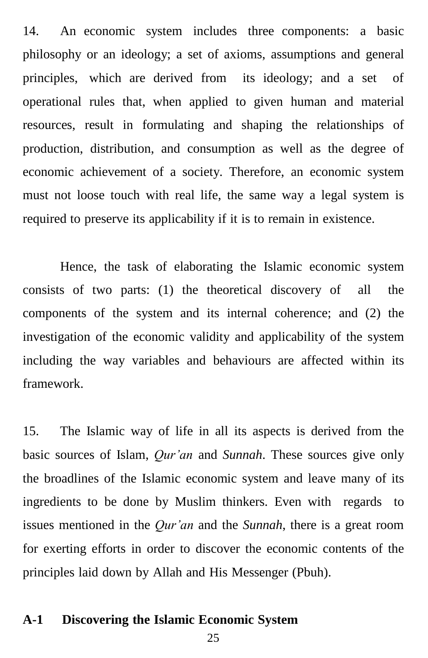14. An economic system includes three components: a basic philosophy or an ideology; a set of axioms, assumptions and general principles, which are derived from its ideology; and a set of operational rules that, when applied to given human and material resources, result in formulating and shaping the relationships of production, distribution, and consumption as well as the degree of economic achievement of a society. Therefore, an economic system must not loose touch with real life, the same way a legal system is required to preserve its applicability if it is to remain in existence.

Hence, the task of elaborating the Islamic economic system consists of two parts: (1) the theoretical discovery of all the components of the system and its internal coherence; and (2) the investigation of the economic validity and applicability of the system including the way variables and behaviours are affected within its framework.

15. The Islamic way of life in all its aspects is derived from the basic sources of Islam, *Qur'an* and *Sunnah*. These sources give only the broadlines of the Islamic economic system and leave many of its ingredients to be done by Muslim thinkers. Even with regards to issues mentioned in the *Qur'an* and the *Sunnah*, there is a great room for exerting efforts in order to discover the economic contents of the principles laid down by Allah and His Messenger (Pbuh).

#### **A-1 Discovering the Islamic Economic System**

25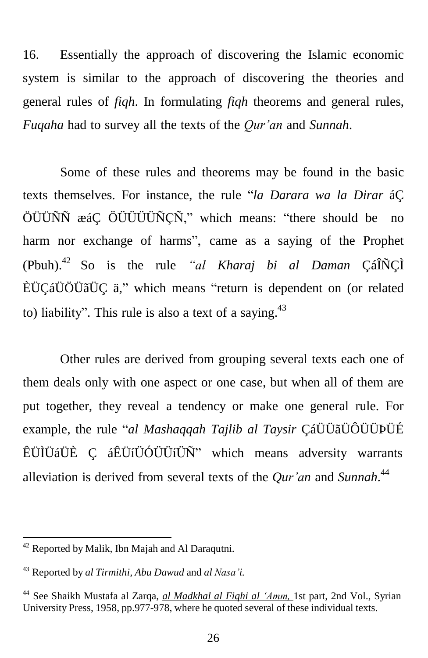16. Essentially the approach of discovering the Islamic economic system is similar to the approach of discovering the theories and general rules of *fiqh*. In formulating *fiqh* theorems and general rules, *Fuqaha* had to survey all the texts of the *Qur'an* and *Sunnah*.

Some of these rules and theorems may be found in the basic texts themselves. For instance, the rule "*la Darara wa la Dirar* áÇ ÖÜÜÑÑ æáÇ ÖÜÜÜÜÑÇÑ," which means: "there should be no harm nor exchange of harms", came as a saying of the Prophet (Pbuh). <sup>42</sup> So is the rule *"al Kharaj bi al Daman* ÇáÎÑÇÌ ÈÜÇáÜÖÜãÜÇ ä," which means "return is dependent on (or related to) liability". This rule is also a text of a saying.<sup>43</sup>

Other rules are derived from grouping several texts each one of them deals only with one aspect or one case, but when all of them are put together, they reveal a tendency or make one general rule. For example, the rule "*al Mashaqqah Tajlib al Taysir* ÇáÜÜãÜÔÜÜÞÜÉ ÊÜÌÜáÜÈ Ç áÊÜíÜÓÜÜíÜÑ" which means adversity warrants alleviation is derived from several texts of the *Qur'an* and *Sunnah*. 44

<sup>42</sup> Reported by Malik, Ibn Majah and Al Daraqutni.

<sup>43</sup> Reported by *al Tirmithi, Abu Dawud* and *al Nasa'i.*

<sup>44</sup> See Shaikh Mustafa al Zarqa, *al Madkhal al Fiqhi al 'Amm,* 1st part, 2nd Vol., Syrian University Press, 1958, pp.977-978, where he quoted several of these individual texts.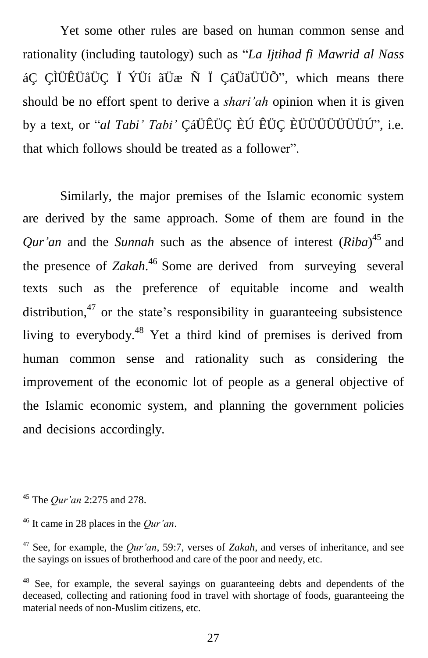Yet some other rules are based on human common sense and rationality (including tautology) such as "*La Ijtihad fi Mawrid al Nass* áÇ ÇÌÜÊÜåÜÇ Ï ÝÜí ãÜæ Ñ Ï ÇáÜäÜÜÕ", which means there should be no effort spent to derive a *shari'ah* opinion when it is given by a text, or "*al Tabi' Tabi'* ÇáÜÊÜÇ ÈÚ ÊÜÇ ÈÜÜÜÜÜÜÜÚ", i.e. that which follows should be treated as a follower".

Similarly, the major premises of the Islamic economic system are derived by the same approach. Some of them are found in the *Qur'an* and the *Sunnah* such as the absence of interest (*Riba*) 45 and the presence of *Zakah*.<sup>46</sup> Some are derived from surveying several texts such as the preference of equitable income and wealth distribution,<sup>47</sup> or the state's responsibility in guaranteeing subsistence living to everybody.<sup>48</sup> Yet a third kind of premises is derived from human common sense and rationality such as considering the improvement of the economic lot of people as a general objective of the Islamic economic system, and planning the government policies and decisions accordingly.

<sup>45</sup> The *Qur'an* 2:275 and 278.

<sup>46</sup> It came in 28 places in the *Qur'an*.

<sup>47</sup> See, for example, the *Qur'an*, 59:7, verses of *Zakah*, and verses of inheritance, and see the sayings on issues of brotherhood and care of the poor and needy, etc.

<sup>48</sup> See, for example, the several sayings on guaranteeing debts and dependents of the deceased, collecting and rationing food in travel with shortage of foods, guaranteeing the material needs of non-Muslim citizens, etc.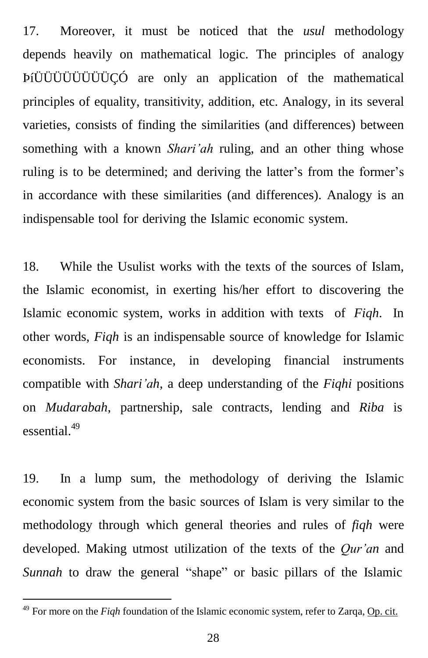17. Moreover, it must be noticed that the *usul* methodology depends heavily on mathematical logic. The principles of analogy ÞíÜÜÜÜÜÜÜÜÇÓ are only an application of the mathematical principles of equality, transitivity, addition, etc. Analogy, in its several varieties, consists of finding the similarities (and differences) between something with a known *Shari'ah* ruling, and an other thing whose ruling is to be determined; and deriving the latter's from the former's in accordance with these similarities (and differences). Analogy is an indispensable tool for deriving the Islamic economic system.

18. While the Usulist works with the texts of the sources of Islam, the Islamic economist, in exerting his/her effort to discovering the Islamic economic system, works in addition with texts of *Fiqh*. In other words, *Fiqh* is an indispensable source of knowledge for Islamic economists. For instance, in developing financial instruments compatible with *Shari'ah*, a deep understanding of the *Fiqhi* positions on *Mudarabah*, partnership, sale contracts, lending and *Riba* is essential. 49

19. In a lump sum, the methodology of deriving the Islamic economic system from the basic sources of Islam is very similar to the methodology through which general theories and rules of *fiqh* were developed. Making utmost utilization of the texts of the *Qur'an* and *Sunnah* to draw the general "shape" or basic pillars of the Islamic

<sup>49</sup> For more on the *Fiqh* foundation of the Islamic economic system, refer to Zarqa, Op. cit.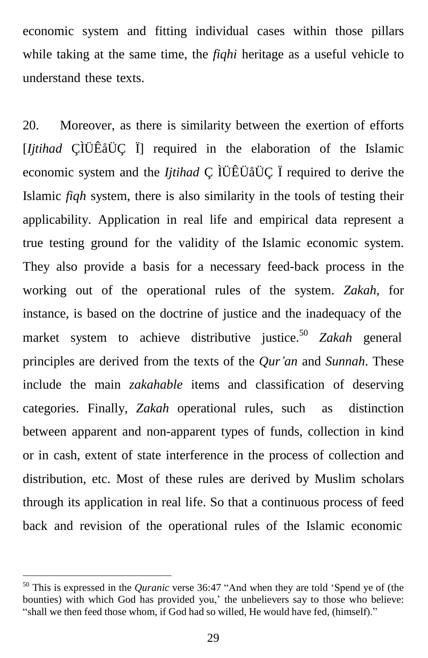economic system and fitting individual cases within those pillars while taking at the same time, the *fiqhi* heritage as a useful vehicle to understand these texts.

20. Moreover, as there is similarity between the exertion of efforts [*Ijtihad* ÇÌÜÊåÜÇ Ï] required in the elaboration of the Islamic economic system and the *Ijtihad* Ç ÌÜÊÜåÜÇ Ï required to derive the Islamic *fiqh* system, there is also similarity in the tools of testing their applicability. Application in real life and empirical data represent a true testing ground for the validity of the Islamic economic system. They also provide a basis for a necessary feed-back process in the working out of the operational rules of the system. *Zakah*, for instance, is based on the doctrine of justice and the inadequacy of the market system to achieve distributive justice. <sup>50</sup>*Zakah* general principles are derived from the texts of the *Qur'an* and *Sunnah*. These include the main *zakahable* items and classification of deserving categories. Finally, *Zakah* operational rules, such as distinction between apparent and non-apparent types of funds, collection in kind or in cash, extent of state interference in the process of collection and distribution, etc. Most of these rules are derived by Muslim scholars through its application in real life. So that a continuous process of feed back and revision of the operational rules of the Islamic economic

<sup>50</sup> This is expressed in the *Quranic* verse 36:47 "And when they are told 'Spend ye of (the bounties) with which God has provided you,' the unbelievers say to those who believe: "shall we then feed those whom, if God had so willed, He would have fed, (himself)."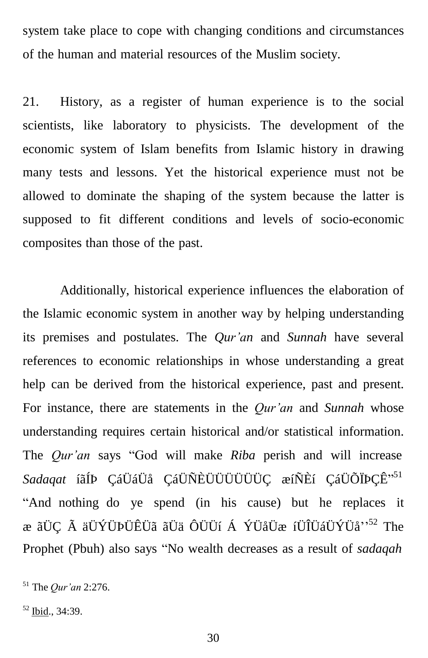system take place to cope with changing conditions and circumstances of the human and material resources of the Muslim society.

21. History, as a register of human experience is to the social scientists, like laboratory to physicists. The development of the economic system of Islam benefits from Islamic history in drawing many tests and lessons. Yet the historical experience must not be allowed to dominate the shaping of the system because the latter is supposed to fit different conditions and levels of socio-economic composites than those of the past.

Additionally, historical experience influences the elaboration of the Islamic economic system in another way by helping understanding its premises and postulates. The *Qur'an* and *Sunnah* have several references to economic relationships in whose understanding a great help can be derived from the historical experience, past and present. For instance, there are statements in the *Qur'an* and *Sunnah* whose understanding requires certain historical and/or statistical information. The *Qur'an* says "God will make *Riba* perish and will increase *Sadaqat* íãÍÞ ÇáÜáÜå ÇáÜÑÈÜÜÜÜÜÜÇ æíÑÈí ÇáÜÕÏÞÇÊ" 51 "And nothing do ye spend (in his cause) but he replaces it æ ãÜÇ Ã äÜÝÜÞÜÊÜã ãÜä ÔÜÜí Á ÝÜåÜæ íÜÎÜáÜÝÜå'' <sup>52</sup> The Prophet (Pbuh) also says "No wealth decreases as a result of *sadaqah*

<sup>51</sup> The *Qur'an* 2:276.

<sup>52</sup> Ibid., 34:39.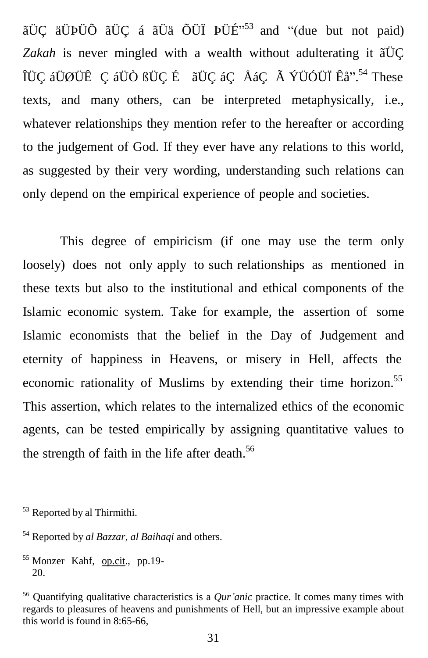ãÜÇ äÜÞÜÕ ãÜÇ á ãÜä ÕÜÏ ÞÜÉ $^{553}$  and "(due but not paid) *Zakah* is never mingled with a wealth without adulterating it ãÜÇ ÎÜÇ áÜØÜÊ Ç áÜÒ ßÜÇ É ãÜÇ áÇ ÅáÇ à ÝÜÓÜÏ Êå".<sup>54</sup> These texts, and many others, can be interpreted metaphysically, i.e., whatever relationships they mention refer to the hereafter or according to the judgement of God. If they ever have any relations to this world, as suggested by their very wording, understanding such relations can only depend on the empirical experience of people and societies.

This degree of empiricism (if one may use the term only loosely) does not only apply to such relationships as mentioned in these texts but also to the institutional and ethical components of the Islamic economic system. Take for example, the assertion of some Islamic economists that the belief in the Day of Judgement and eternity of happiness in Heavens, or misery in Hell, affects the economic rationality of Muslims by extending their time horizon.<sup>55</sup> This assertion, which relates to the internalized ethics of the economic agents, can be tested empirically by assigning quantitative values to the strength of faith in the life after death.<sup>56</sup>

<sup>53</sup> Reported by al Thirmithi.

<sup>54</sup> Reported by *al Bazzar*, *al Baihaqi* and others.

<sup>55</sup> Monzer Kahf, op.cit., pp.19-20.

<sup>56</sup> Quantifying qualitative characteristics is a *Qur'anic* practice. It comes many times with regards to pleasures of heavens and punishments of Hell, but an impressive example about this world is found in 8:65-66,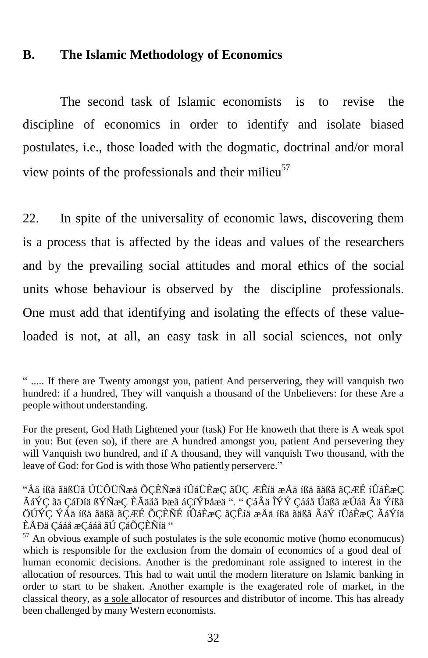#### **B. The Islamic Methodology of Economics**

The second task of Islamic economists is to revise the discipline of economics in order to identify and isolate biased postulates, i.e., those loaded with the dogmatic, doctrinal and/or moral view points of the professionals and their milieu<sup>57</sup>

22. In spite of the universality of economic laws, discovering them is a process that is affected by the ideas and values of the researchers and by the prevailing social attitudes and moral ethics of the social units whose behaviour is observed by the discipline professionals. One must add that identifying and isolating the effects of these valueloaded is not, at all, an easy task in all social sciences, not only

<sup>&</sup>quot; ..... If there are Twenty amongst you, patient And perservering, they will vanquish two hundred: if a hundred, They will vanquish a thousand of the Unbelievers: for these Are a people without understanding.

For the present, God Hath Lightened your (task) For He knoweth that there is A weak spot in you: But (even so), if there are A hundred amongst you, patient And persevering they will Vanquish two hundred, and if A thousand, they will vanquish Two thousand, with the leave of God: for God is with those Who patiently perservere."

<sup>&</sup>quot;Åä íßä ãäßÜã ÚÜÔÜÑæä ÕÇÈÑæä íÛáÜÈæÇ ãÜÇ ÆÊíä æÅä íßä ãäßã ãÇÆÉ íÛáÈæÇ ÃáÝÇ ãä ÇáÐíä ßÝÑæÇ ÈÃäåã Þæã áÇíÝÞåæä ". " ÇáÂä ÎÝÝ Çááå Úäßã æÚáã Ãä Ýíßã ÖÚÝÇ ÝÅä íßä ãäßã ãÇÆÉ ÕÇÈÑÉ íÛáÈæÇ ãÇÊíä æÅä íßä ãäßã ÃáÝ íÛáÈæÇ ÃáÝíä ÈÅÐä Çááå æÇááå ãÚ ÇáÕÇÈÑíä "

 $57$  An obvious example of such postulates is the sole economic motive (homo economucus) which is responsible for the exclusion from the domain of economics of a good deal of human economic decisions. Another is the predominant role assigned to interest in the allocation of resources. This had to wait until the modern literature on Islamic banking in order to start to be shaken. Another example is the exagerated role of market, in the classical theory, as a sole allocator of resources and distributor of income. This has already been challenged by many Western economists.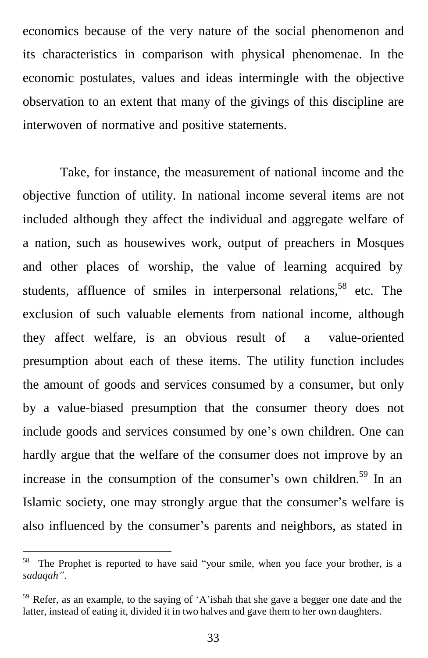economics because of the very nature of the social phenomenon and its characteristics in comparison with physical phenomenae. In the economic postulates, values and ideas intermingle with the objective observation to an extent that many of the givings of this discipline are interwoven of normative and positive statements.

Take, for instance, the measurement of national income and the objective function of utility. In national income several items are not included although they affect the individual and aggregate welfare of a nation, such as housewives work, output of preachers in Mosques and other places of worship, the value of learning acquired by students, affluence of smiles in interpersonal relations,<sup>58</sup> etc. The exclusion of such valuable elements from national income, although they affect welfare, is an obvious result of a value-oriented presumption about each of these items. The utility function includes the amount of goods and services consumed by a consumer, but only by a value-biased presumption that the consumer theory does not include goods and services consumed by one's own children. One can hardly argue that the welfare of the consumer does not improve by an increase in the consumption of the consumer's own children.<sup>59</sup> In an Islamic society, one may strongly argue that the consumer's welfare is also influenced by the consumer's parents and neighbors, as stated in

<sup>&</sup>lt;sup>58</sup> The Prophet is reported to have said "your smile, when you face your brother, is a *sadaqah"*.

<sup>59</sup> Refer, as an example, to the saying of 'A'ishah that she gave a begger one date and the latter, instead of eating it, divided it in two halves and gave them to her own daughters.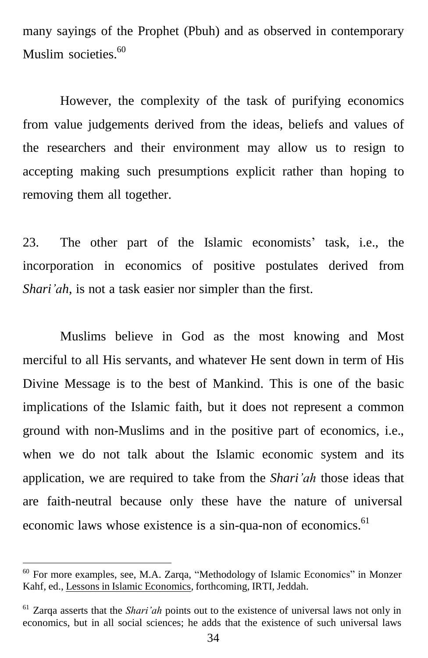many sayings of the Prophet (Pbuh) and as observed in contemporary Muslim societies.<sup>60</sup>

However, the complexity of the task of purifying economics from value judgements derived from the ideas, beliefs and values of the researchers and their environment may allow us to resign to accepting making such presumptions explicit rather than hoping to removing them all together.

23. The other part of the Islamic economists' task, i.e., the incorporation in economics of positive postulates derived from *Shari'ah*, is not a task easier nor simpler than the first.

Muslims believe in God as the most knowing and Most merciful to all His servants, and whatever He sent down in term of His Divine Message is to the best of Mankind. This is one of the basic implications of the Islamic faith, but it does not represent a common ground with non-Muslims and in the positive part of economics, i.e., when we do not talk about the Islamic economic system and its application, we are required to take from the *Shari'ah* those ideas that are faith-neutral because only these have the nature of universal economic laws whose existence is a sin-qua-non of economics.<sup>61</sup>

<sup>60</sup> For more examples, see, M.A. Zarqa, "Methodology of Islamic Economics" in Monzer Kahf, ed., Lessons in Islamic Economics, forthcoming, IRTI, Jeddah.

<sup>61</sup> Zarqa asserts that the *Shari'ah* points out to the existence of universal laws not only in economics, but in all social sciences; he adds that the existence of such universal laws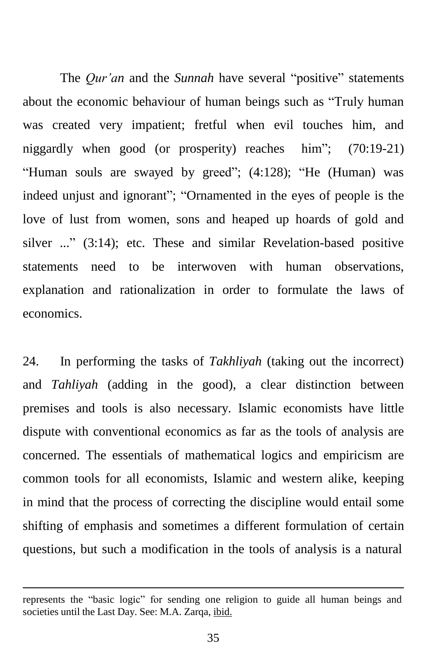The *Qur'an* and the *Sunnah* have several "positive" statements about the economic behaviour of human beings such as "Truly human was created very impatient; fretful when evil touches him, and niggardly when good (or prosperity) reaches him"; (70:19-21) "Human souls are swayed by greed"; (4:128); "He (Human) was indeed unjust and ignorant"; "Ornamented in the eyes of people is the love of lust from women, sons and heaped up hoards of gold and silver ..." (3:14); etc. These and similar Revelation-based positive statements need to be interwoven with human observations, explanation and rationalization in order to formulate the laws of economics.

24. In performing the tasks of *Takhliyah* (taking out the incorrect) and *Tahliyah* (adding in the good), a clear distinction between premises and tools is also necessary. Islamic economists have little dispute with conventional economics as far as the tools of analysis are concerned. The essentials of mathematical logics and empiricism are common tools for all economists, Islamic and western alike, keeping in mind that the process of correcting the discipline would entail some shifting of emphasis and sometimes a different formulation of certain questions, but such a modification in the tools of analysis is a natural

represents the "basic logic" for sending one religion to guide all human beings and societies until the Last Day. See: M.A. Zarqa, ibid.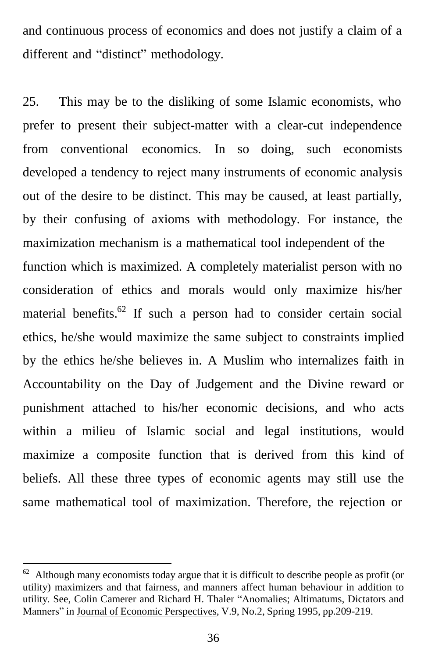and continuous process of economics and does not justify a claim of a different and "distinct" methodology.

25. This may be to the disliking of some Islamic economists, who prefer to present their subject-matter with a clear-cut independence from conventional economics. In so doing, such economists developed a tendency to reject many instruments of economic analysis out of the desire to be distinct. This may be caused, at least partially, by their confusing of axioms with methodology. For instance, the maximization mechanism is a mathematical tool independent of the function which is maximized. A completely materialist person with no consideration of ethics and morals would only maximize his/her material benefits.<sup>62</sup> If such a person had to consider certain social ethics, he/she would maximize the same subject to constraints implied by the ethics he/she believes in. A Muslim who internalizes faith in Accountability on the Day of Judgement and the Divine reward or punishment attached to his/her economic decisions, and who acts within a milieu of Islamic social and legal institutions, would maximize a composite function that is derived from this kind of beliefs. All these three types of economic agents may still use the same mathematical tool of maximization. Therefore, the rejection or

 $62$  Although many economists today argue that it is difficult to describe people as profit (or utility) maximizers and that fairness, and manners affect human behaviour in addition to utility. See, Colin Camerer and Richard H. Thaler "Anomalies; Altimatums, Dictators and Manners" in Journal of Economic Perspectives, V.9, No.2, Spring 1995, pp.209-219.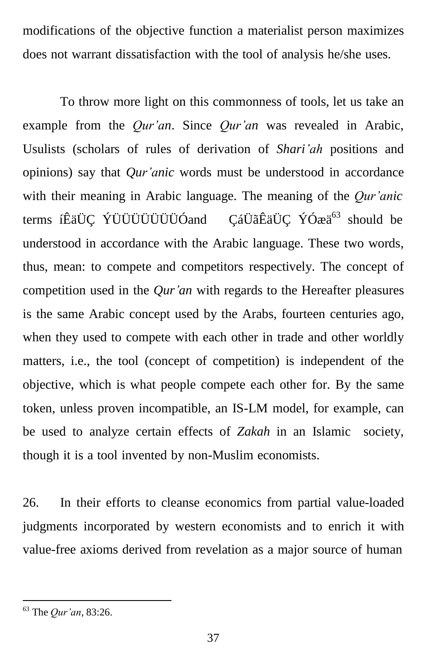modifications of the objective function a materialist person maximizes does not warrant dissatisfaction with the tool of analysis he/she uses.

To throw more light on this commonness of tools, let us take an example from the *Qur'an*. Since *Qur'an* was revealed in Arabic, Usulists (scholars of rules of derivation of *Shari'ah* positions and opinions) say that *Qur'anic* words must be understood in accordance with their meaning in Arabic language. The meaning of the *Qur'anic* terms íÊäÜÇ ÝÜÜÜÜÜÜÜÖÓand ÇáÜãÊäÜÇ ÝÓæä<sup>63</sup> should be understood in accordance with the Arabic language. These two words, thus, mean: to compete and competitors respectively. The concept of competition used in the *Qur'an* with regards to the Hereafter pleasures is the same Arabic concept used by the Arabs, fourteen centuries ago, when they used to compete with each other in trade and other worldly matters, i.e., the tool (concept of competition) is independent of the objective, which is what people compete each other for. By the same token, unless proven incompatible, an IS-LM model, for example, can be used to analyze certain effects of *Zakah* in an Islamic society, though it is a tool invented by non-Muslim economists.

26. In their efforts to cleanse economics from partial value-loaded judgments incorporated by western economists and to enrich it with value-free axioms derived from revelation as a major source of human

<sup>63</sup> The *Qur'an*, 83:26.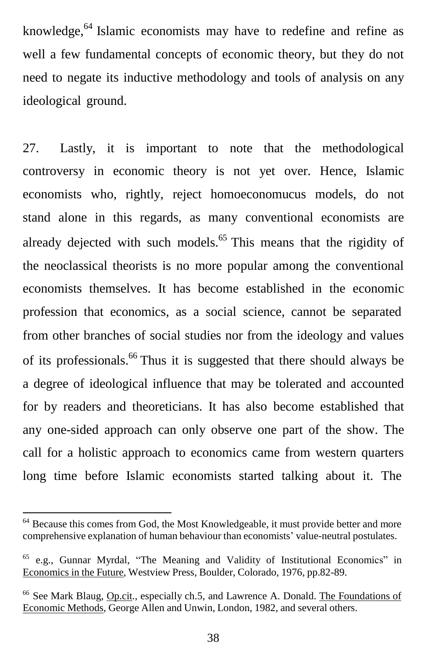knowledge,<sup>64</sup> Islamic economists may have to redefine and refine as well a few fundamental concepts of economic theory, but they do not need to negate its inductive methodology and tools of analysis on any ideological ground.

27. Lastly, it is important to note that the methodological controversy in economic theory is not yet over. Hence, Islamic economists who, rightly, reject homoeconomucus models, do not stand alone in this regards, as many conventional economists are already dejected with such models.<sup>65</sup> This means that the rigidity of the neoclassical theorists is no more popular among the conventional economists themselves. It has become established in the economic profession that economics, as a social science, cannot be separated from other branches of social studies nor from the ideology and values of its professionals. <sup>66</sup> Thus it is suggested that there should always be a degree of ideological influence that may be tolerated and accounted for by readers and theoreticians. It has also become established that any one-sided approach can only observe one part of the show. The call for a holistic approach to economics came from western quarters long time before Islamic economists started talking about it. The

<sup>&</sup>lt;sup>64</sup> Because this comes from God, the Most Knowledgeable, it must provide better and more comprehensive explanation of human behaviour than economists' value-neutral postulates.

<sup>65</sup> e.g., Gunnar Myrdal, "The Meaning and Validity of Institutional Economics" in Economics in the Future, Westview Press, Boulder, Colorado, 1976, pp.82-89.

<sup>66</sup> See Mark Blaug, Op.cit., especially ch.5, and Lawrence A. Donald. The Foundations of Economic Methods, George Allen and Unwin, London, 1982, and several others.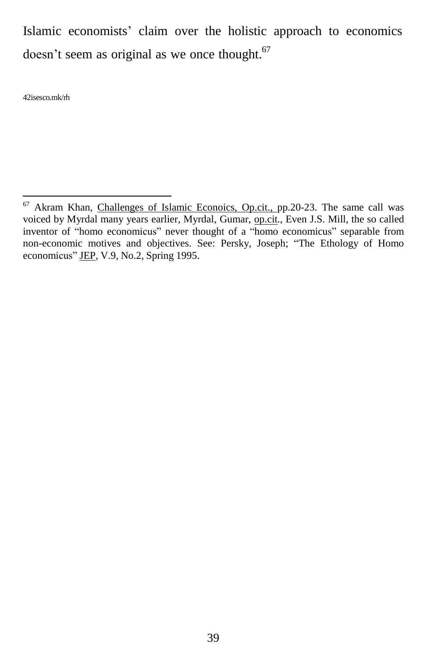Islamic economists' claim over the holistic approach to economics doesn't seem as original as we once thought. $67$ 

42isesco.mk/rh

<sup>67</sup> Akram Khan, Challenges of Islamic Econoics, Op.cit., pp.20-23. The same call was voiced by Myrdal many years earlier, Myrdal, Gumar, op.cit., Even J.S. Mill, the so called inventor of "homo economicus" never thought of a "homo economicus" separable from non-economic motives and objectives. See: Persky, Joseph; "The Ethology of Homo economicus" JEP, V.9, No.2, Spring 1995.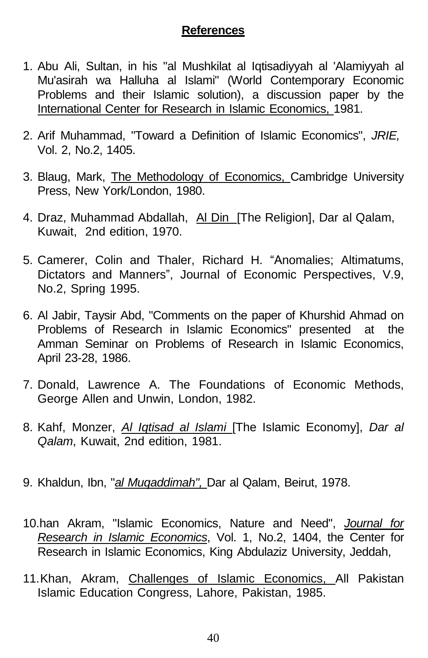#### **References**

- 1. Abu Ali, Sultan, in his "al Mushkilat al Iqtisadiyyah al 'Alamiyyah al Mu'asirah wa Halluha al Islami" (World Contemporary Economic Problems and their Islamic solution), a discussion paper by the International Center for Research in Islamic Economics, 1981.
- 2. Arif Muhammad, "Toward a Definition of Islamic Economics", *JRIE,* Vol. 2, No.2, 1405.
- 3. Blaug, Mark, The Methodology of Economics, Cambridge University Press, New York/London, 1980.
- 4. Draz, Muhammad Abdallah, Al Din [The Religion], Dar al Qalam, Kuwait, 2nd edition, 1970.
- 5. Camerer, Colin and Thaler, Richard H. "Anomalies; Altimatums, Dictators and Manners", Journal of Economic Perspectives, V.9, No.2, Spring 1995.
- 6. Al Jabir, Taysir Abd, "Comments on the paper of Khurshid Ahmad on Problems of Research in Islamic Economics" presented at the Amman Seminar on Problems of Research in Islamic Economics, April 23-28, 1986.
- 7. Donald, Lawrence A. The Foundations of Economic Methods, George Allen and Unwin, London, 1982.
- 8. Kahf, Monzer, *Al Iqtisad al Islami* [The Islamic Economy], *Dar al Qalam*, Kuwait, 2nd edition, 1981.
- 9. Khaldun, Ibn, "*al Muqaddimah",* Dar al Qalam, Beirut, 1978.
- 10.han Akram, "Islamic Economics, Nature and Need", *Journal for Research in Islamic Economics*, Vol. 1, No.2, 1404, the Center for Research in Islamic Economics, King Abdulaziz University, Jeddah,
- 11.Khan, Akram, Challenges of Islamic Economics, All Pakistan Islamic Education Congress, Lahore, Pakistan, 1985.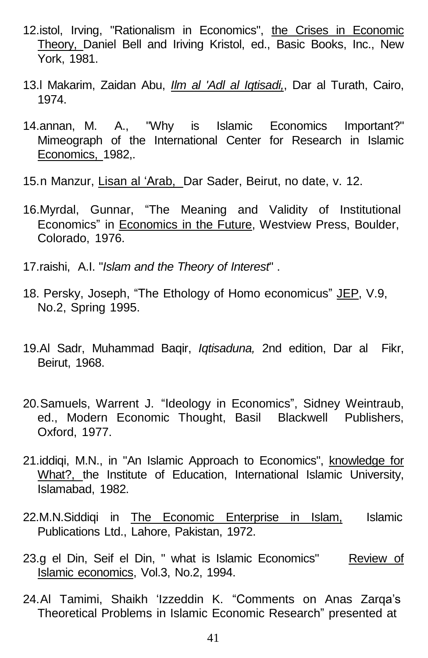- 12.istol, Irving, "Rationalism in Economics", the Crises in Economic Theory, Daniel Bell and Iriving Kristol, ed., Basic Books, Inc., New York, 1981.
- 13.l Makarim, Zaidan Abu, *Ilm al 'Adl al Iqtisadi,*, Dar al Turath, Cairo, 1974.
- 14.annan, M. A., "Why is Islamic Economics Important?" Mimeograph of the International Center for Research in Islamic Economics, 1982,.
- 15.n Manzur, Lisan al 'Arab, Dar Sader, Beirut, no date, v. 12.
- 16.Myrdal, Gunnar, "The Meaning and Validity of Institutional Economics" in Economics in the Future, Westview Press, Boulder, Colorado, 1976.
- 17.raishi, A.I. "*Islam and the Theory of Interest*" .
- 18. Persky, Joseph, "The Ethology of Homo economicus" JEP, V.9, No.2, Spring 1995.
- 19.Al Sadr, Muhammad Baqir, *Iqtisaduna,* 2nd edition, Dar al Fikr, Beirut, 1968.
- 20.Samuels, Warrent J. "Ideology in Economics", Sidney Weintraub, ed., Modern Economic Thought, Basil Blackwell Publishers, Oxford, 1977.
- 21.iddiqi, M.N., in "An Islamic Approach to Economics", knowledge for What?, the Institute of Education, International Islamic University, Islamabad, 1982.
- 22.M.N.Siddiqi in The Economic Enterprise in Islam, Islamic Publications Ltd., Lahore, Pakistan, 1972.
- 23.g el Din, Seif el Din, " what is Islamic Economics" Review of Islamic economics, Vol.3, No.2, 1994.
- 24.Al Tamimi, Shaikh 'Izzeddin K. "Comments on Anas Zarqa's Theoretical Problems in Islamic Economic Research" presented at